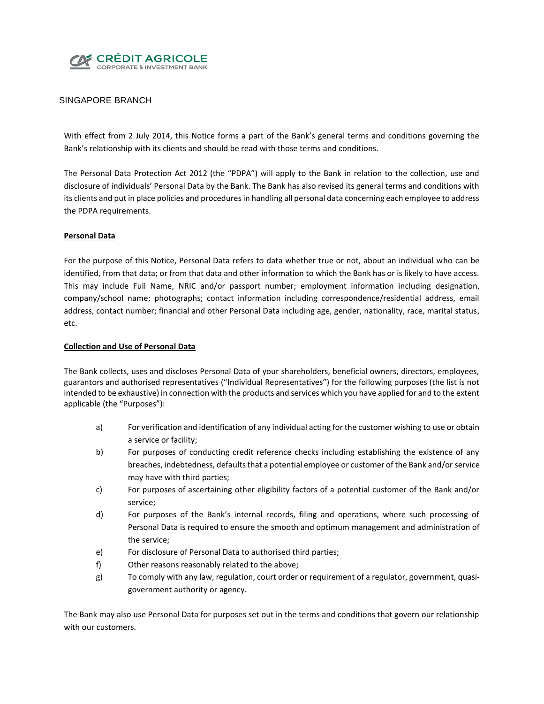

# SINGAPORE BRANCH

With effect from 2 July 2014, this Notice forms a part of the Bank's general terms and conditions governing the Bank's relationship with its clients and should be read with those terms and conditions.

The Personal Data Protection Act 2012 (the "PDPA") will apply to the Bank in relation to the collection, use and disclosure of individuals' Personal Data by the Bank. The Bank has also revised its general terms and conditions with its clients and put in place policies and procedures in handling all personal data concerning each employee to address the PDPA requirements.

#### **Personal Data**

For the purpose of this Notice, Personal Data refers to data whether true or not, about an individual who can be identified, from that data; or from that data and other information to which the Bank has or is likely to have access. This may include Full Name, NRIC and/or passport number; employment information including designation, company/school name; photographs; contact information including correspondence/residential address, email address, contact number; financial and other Personal Data including age, gender, nationality, race, marital status, etc.

### **Collection and Use of Personal Data**

The Bank collects, uses and discloses Personal Data of your shareholders, beneficial owners, directors, employees, guarantors and authorised representatives ("Individual Representatives") for the following purposes (the list is not intended to be exhaustive) in connection with the products and services which you have applied for and to the extent applicable (the "Purposes"):

- a) For verification and identification of any individual acting for the customer wishing to use or obtain a service or facility;
- b) For purposes of conducting credit reference checks including establishing the existence of any breaches, indebtedness, defaults that a potential employee or customer of the Bank and/or service may have with third parties;
- c) For purposes of ascertaining other eligibility factors of a potential customer of the Bank and/or service;
- d) For purposes of the Bank's internal records, filing and operations, where such processing of Personal Data is required to ensure the smooth and optimum management and administration of the service;
- e) For disclosure of Personal Data to authorised third parties;
- f) Other reasons reasonably related to the above;
- g) To comply with any law, regulation, court order or requirement of a regulator, government, quasigovernment authority or agency.

The Bank may also use Personal Data for purposes set out in the terms and conditions that govern our relationship with our customers.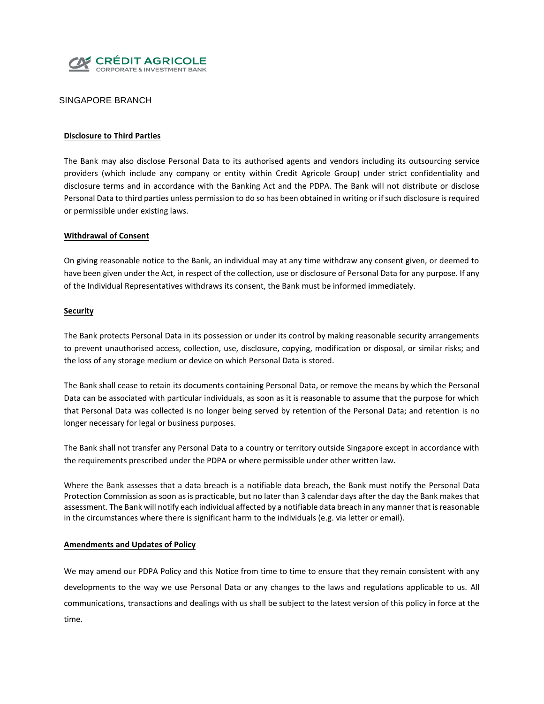

### SINGAPORE BRANCH

### **Disclosure to Third Parties**

The Bank may also disclose Personal Data to its authorised agents and vendors including its outsourcing service providers (which include any company or entity within Credit Agricole Group) under strict confidentiality and disclosure terms and in accordance with the Banking Act and the PDPA. The Bank will not distribute or disclose Personal Data to third parties unless permission to do so has been obtained in writing or if such disclosure is required or permissible under existing laws.

#### **Withdrawal of Consent**

On giving reasonable notice to the Bank, an individual may at any time withdraw any consent given, or deemed to have been given under the Act, in respect of the collection, use or disclosure of Personal Data for any purpose. If any of the Individual Representatives withdraws its consent, the Bank must be informed immediately.

#### **Security**

The Bank protects Personal Data in its possession or under its control by making reasonable security arrangements to prevent unauthorised access, collection, use, disclosure, copying, modification or disposal, or similar risks; and the loss of any storage medium or device on which Personal Data is stored.

The Bank shall cease to retain its documents containing Personal Data, or remove the means by which the Personal Data can be associated with particular individuals, as soon as it is reasonable to assume that the purpose for which that Personal Data was collected is no longer being served by retention of the Personal Data; and retention is no longer necessary for legal or business purposes.

The Bank shall not transfer any Personal Data to a country or territory outside Singapore except in accordance with the requirements prescribed under the PDPA or where permissible under other written law.

Where the Bank assesses that a data breach is a notifiable data breach, the Bank must notify the Personal Data Protection Commission as soon as is practicable, but no later than 3 calendar days after the day the Bank makes that assessment. The Bank will notify each individual affected by a notifiable data breach in any manner that is reasonable in the circumstances where there is significant harm to the individuals (e.g. via letter or email).

#### **Amendments and Updates of Policy**

We may amend our PDPA Policy and this Notice from time to time to ensure that they remain consistent with any developments to the way we use Personal Data or any changes to the laws and regulations applicable to us. All communications, transactions and dealings with us shall be subject to the latest version of this policy in force at the time.